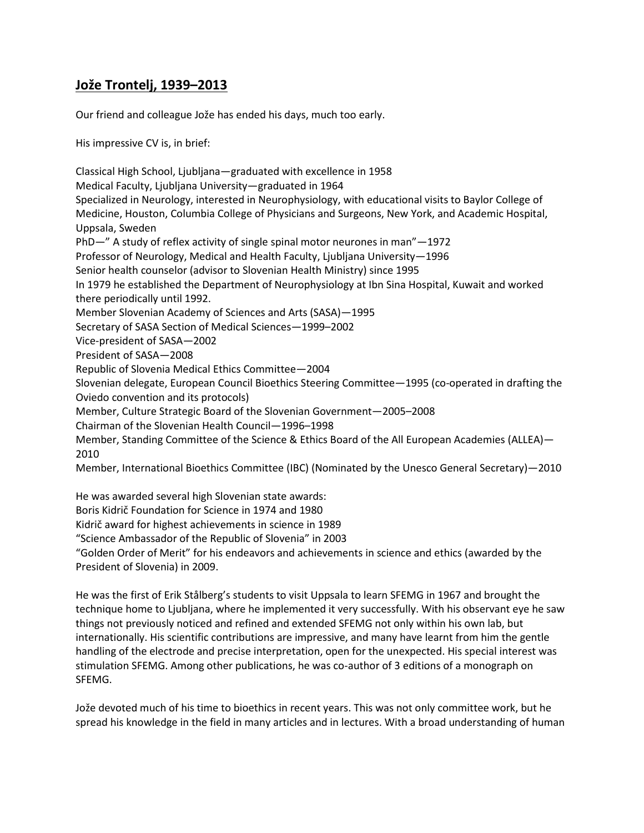## **Jože Trontelj, 1939–2013**

Our friend and colleague Jože has ended his days, much too early.

His impressive CV is, in brief:

Classical High School, Ljubljana—graduated with excellence in 1958 Medical Faculty, Ljubljana University—graduated in 1964 Specialized in Neurology, interested in Neurophysiology, with educational visits to Baylor College of Medicine, Houston, Columbia College of Physicians and Surgeons, New York, and Academic Hospital, Uppsala, Sweden PhD—" A study of reflex activity of single spinal motor neurones in man"—1972 Professor of Neurology, Medical and Health Faculty, Ljubljana University—1996 Senior health counselor (advisor to Slovenian Health Ministry) since 1995 In 1979 he established the Department of Neurophysiology at Ibn Sina Hospital, Kuwait and worked there periodically until 1992. Member Slovenian Academy of Sciences and Arts (SASA)—1995 Secretary of SASA Section of Medical Sciences—1999–2002 Vice-president of SASA—2002 President of SASA—2008 Republic of Slovenia Medical Ethics Committee—2004 Slovenian delegate, European Council Bioethics Steering Committee—1995 (co-operated in drafting the Oviedo convention and its protocols) Member, Culture Strategic Board of the Slovenian Government—2005–2008 Chairman of the Slovenian Health Council—1996–1998 Member, Standing Committee of the Science & Ethics Board of the All European Academies (ALLEA)— 2010 Member, International Bioethics Committee (IBC) (Nominated by the Unesco General Secretary)—2010 He was awarded several high Slovenian state awards: Boris Kidrič Foundation for Science in 1974 and 1980

Kidrič award for highest achievements in science in 1989

"Science Ambassador of the Republic of Slovenia" in 2003

"Golden Order of Merit" for his endeavors and achievements in science and ethics (awarded by the President of Slovenia) in 2009.

He was the first of Erik Stålberg's students to visit Uppsala to learn SFEMG in 1967 and brought the technique home to Ljubljana, where he implemented it very successfully. With his observant eye he saw things not previously noticed and refined and extended SFEMG not only within his own lab, but internationally. His scientific contributions are impressive, and many have learnt from him the gentle handling of the electrode and precise interpretation, open for the unexpected. His special interest was stimulation SFEMG. Among other publications, he was co-author of 3 editions of a monograph on SFEMG.

Jože devoted much of his time to bioethics in recent years. This was not only committee work, but he spread his knowledge in the field in many articles and in lectures. With a broad understanding of human